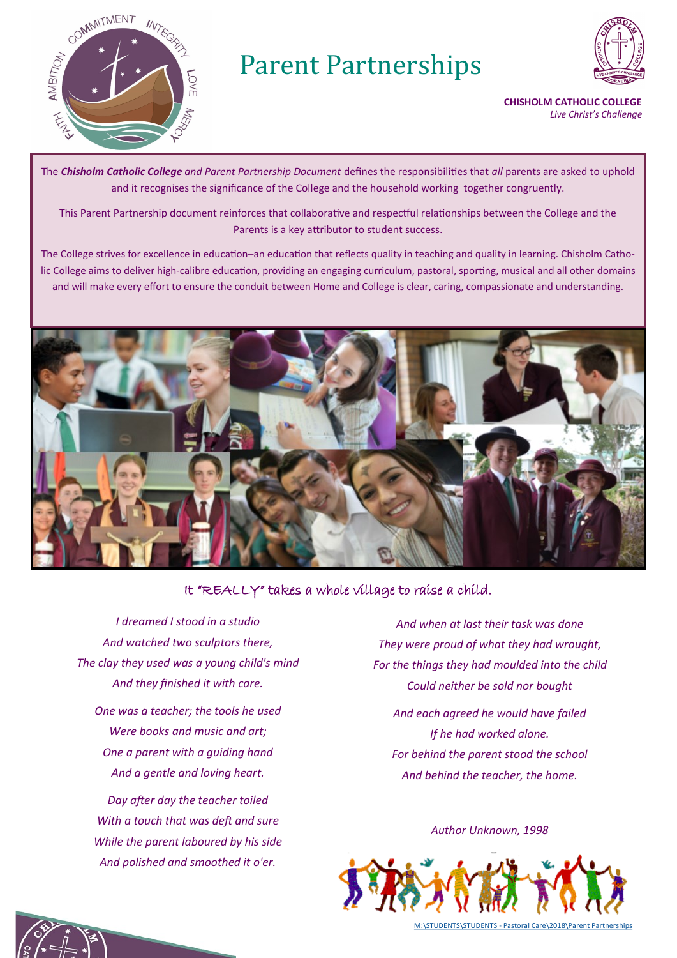

# Parent Partnerships



**CHISHOLM CATHOLIC COLLEGE** *Live Christ's Challenge*

The *Chisholm Catholic College and Parent Partnership Document* defines the responsibilities that *all* parents are asked to uphold and it recognises the significance of the College and the household working together congruently.

This Parent Partnership document reinforces that collaborative and respectful relationships between the College and the Parents is a key attributor to student success.

The College strives for excellence in education–an education that reflects quality in teaching and quality in learning. Chisholm Catholic College aims to deliver high-calibre education, providing an engaging curriculum, pastoral, sporting, musical and all other domains and will make every effort to ensure the conduit between Home and College is clear, caring, compassionate and understanding.



### It "REALLY" takes a whole village to raise a child.

*I dreamed I stood in a studio And watched two sculptors there, The clay they used was a young child's mind And they finished it with care.*

*One was a teacher; the tools he used Were books and music and art; One a parent with a guiding hand And a gentle and loving heart.*

*Day after day the teacher toiled With a touch that was deft and sure While the parent laboured by his side And polished and smoothed it o'er.*

*And when at last their task was done They were proud of what they had wrought, For the things they had moulded into the child Could neither be sold nor bought And each agreed he would have failed If he had worked alone. For behind the parent stood the school And behind the teacher, the home.*

*Author Unknown, 1998*



M:\STUDENTS\STUDENTS - Pastoral Care\2018\Parent Partnerships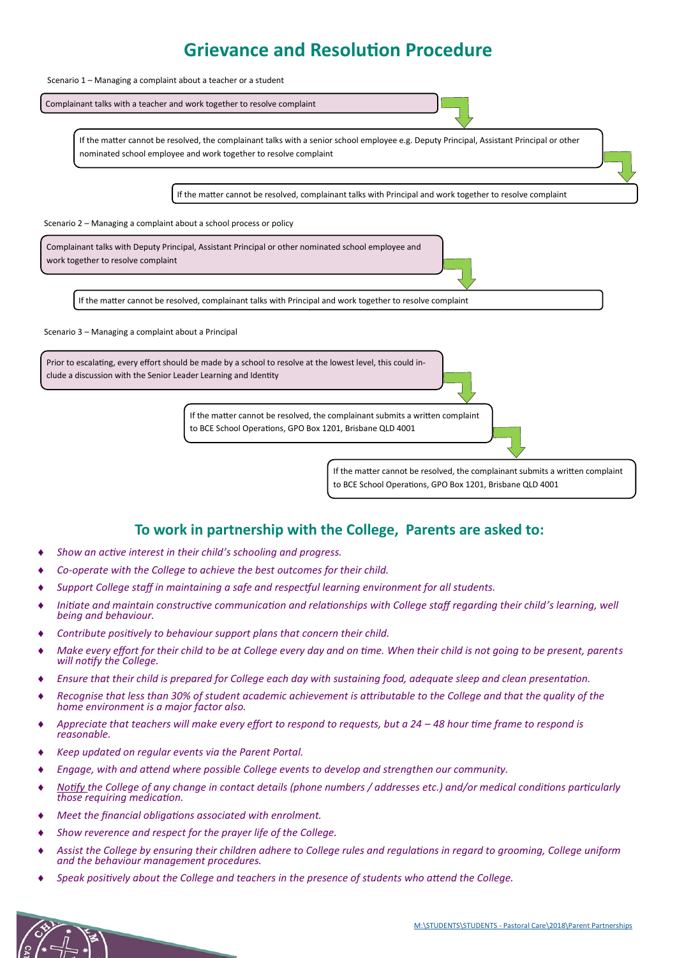# **Grievance and Resolution Procedure**



### **To work in partnership with the College, Parents are asked to:**

- *Show an active interest in their child's schooling and progress.*
- *Co-operate with the College to achieve the best outcomes for their child.*
- *Support College staff in maintaining a safe and respectful learning environment for all students.*
- *Initiate and maintain constructive communication and relationships with College staff regarding their child's learning, well being and behaviour.*
- *Contribute positively to behaviour support plans that concern their child.*
- *Make every effort for their child to be at College every day and on time. When their child is not going to be present, parents will notify the College.*
- *Ensure that their child is prepared for College each day with sustaining food, adequate sleep and clean presentation.*
- *Recognise that less than 30% of student academic achievement is attributable to the College and that the quality of the home environment is a major factor also.*
- *Appreciate that teachers will make every effort to respond to requests, but a 24 – 48 hour time frame to respond is reasonable.*
- *Keep updated on regular events via the Parent Portal.*
- *Engage, with and attend where possible College events to develop and strengthen our community.*
- *Notify the College of any change in contact details (phone numbers / addresses etc.) and/or medical conditions particularly those requiring medication.*
- *Meet the financial obligations associated with enrolment.*
- *Show reverence and respect for the prayer life of the College.*
- *Assist the College by ensuring their children adhere to College rules and regulations in regard to grooming, College uniform and the behaviour management procedures.*
- *Speak positively about the College and teachers in the presence of students who attend the College.*

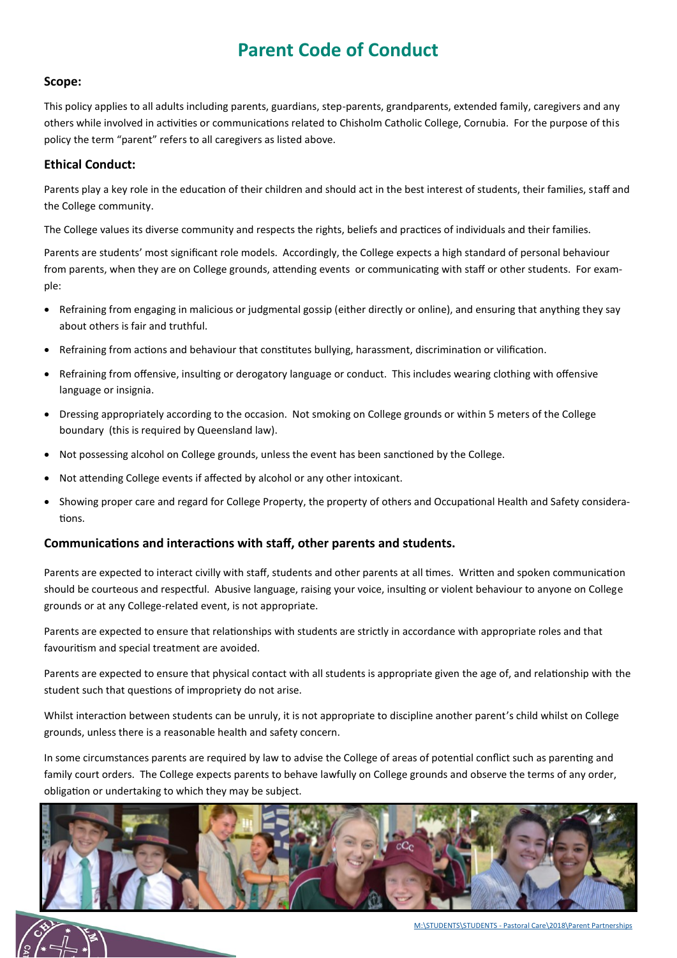# **Parent Code of Conduct**

#### **Scope:**

This policy applies to all adults including parents, guardians, step-parents, grandparents, extended family, caregivers and any others while involved in activities or communications related to Chisholm Catholic College, Cornubia. For the purpose of this policy the term "parent" refers to all caregivers as listed above.

#### **Ethical Conduct:**

Parents play a key role in the education of their children and should act in the best interest of students, their families, staff and the College community.

The College values its diverse community and respects the rights, beliefs and practices of individuals and their families.

Parents are students' most significant role models. Accordingly, the College expects a high standard of personal behaviour from parents, when they are on College grounds, attending events or communicating with staff or other students. For example:

- Refraining from engaging in malicious or judgmental gossip (either directly or online), and ensuring that anything they say about others is fair and truthful.
- Refraining from actions and behaviour that constitutes bullying, harassment, discrimination or vilification.
- Refraining from offensive, insulting or derogatory language or conduct. This includes wearing clothing with offensive language or insignia.
- Dressing appropriately according to the occasion. Not smoking on College grounds or within 5 meters of the College boundary (this is required by Queensland law).
- Not possessing alcohol on College grounds, unless the event has been sanctioned by the College.
- Not attending College events if affected by alcohol or any other intoxicant.
- Showing proper care and regard for College Property, the property of others and Occupational Health and Safety considerations.

#### **Communications and interactions with staff, other parents and students.**

Parents are expected to interact civilly with staff, students and other parents at all times. Written and spoken communication should be courteous and respectful. Abusive language, raising your voice, insulting or violent behaviour to anyone on College grounds or at any College-related event, is not appropriate.

Parents are expected to ensure that relationships with students are strictly in accordance with appropriate roles and that favouritism and special treatment are avoided.

Parents are expected to ensure that physical contact with all students is appropriate given the age of, and relationship with the student such that questions of impropriety do not arise.

Whilst interaction between students can be unruly, it is not appropriate to discipline another parent's child whilst on College grounds, unless there is a reasonable health and safety concern.

In some circumstances parents are required by law to advise the College of areas of potential conflict such as parenting and family court orders. The College expects parents to behave lawfully on College grounds and observe the terms of any order, obligation or undertaking to which they may be subject.



M:\STUDENTS\STUDENTS - Pastoral Care\2018\Parent Partnerships